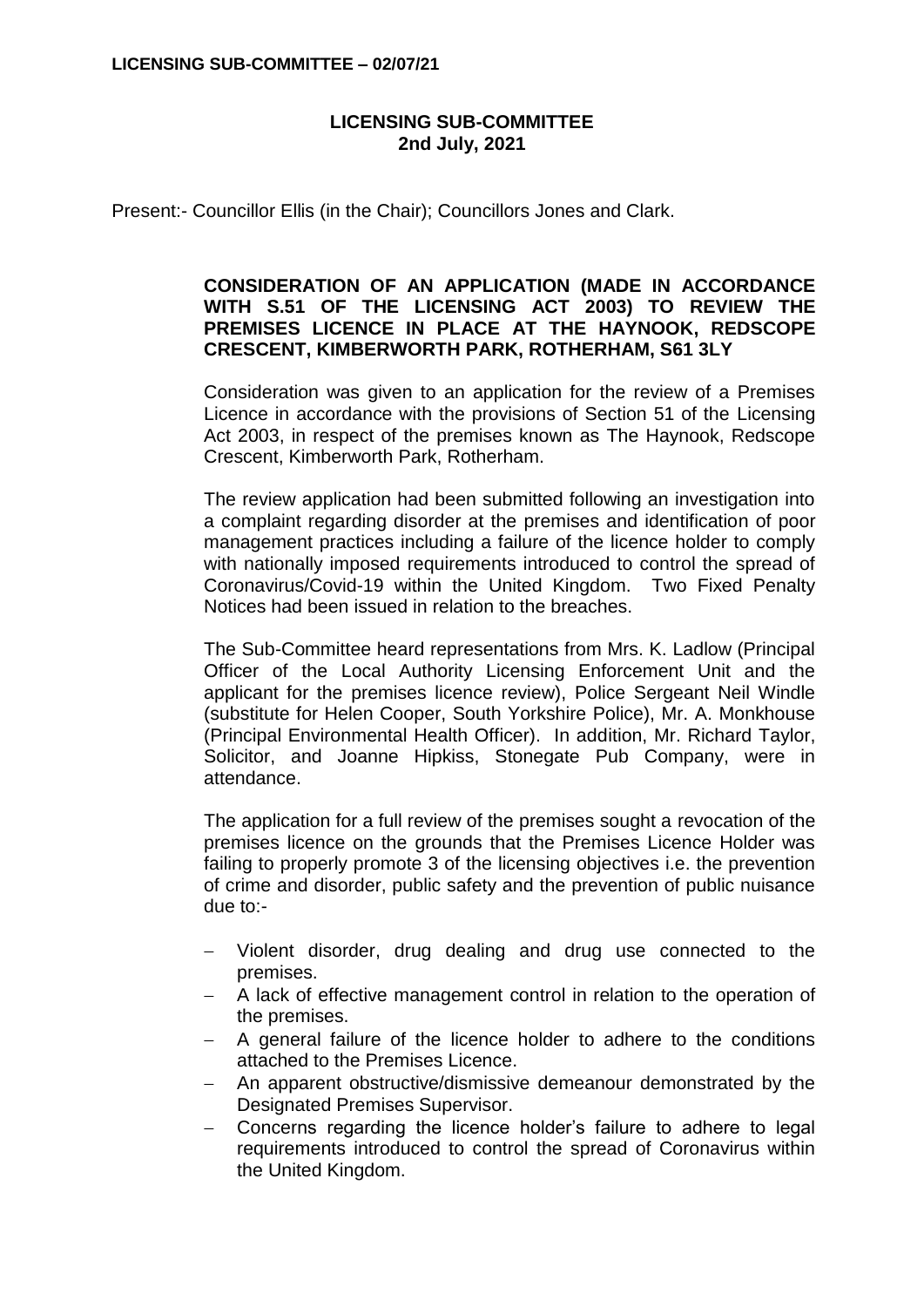## **LICENSING SUB-COMMITTEE 2nd July, 2021**

Present:- Councillor Ellis (in the Chair); Councillors Jones and Clark.

## **CONSIDERATION OF AN APPLICATION (MADE IN ACCORDANCE WITH S.51 OF THE LICENSING ACT 2003) TO REVIEW THE PREMISES LICENCE IN PLACE AT THE HAYNOOK, REDSCOPE CRESCENT, KIMBERWORTH PARK, ROTHERHAM, S61 3LY**

Consideration was given to an application for the review of a Premises Licence in accordance with the provisions of Section 51 of the Licensing Act 2003, in respect of the premises known as The Haynook, Redscope Crescent, Kimberworth Park, Rotherham.

The review application had been submitted following an investigation into a complaint regarding disorder at the premises and identification of poor management practices including a failure of the licence holder to comply with nationally imposed requirements introduced to control the spread of Coronavirus/Covid-19 within the United Kingdom. Two Fixed Penalty Notices had been issued in relation to the breaches.

The Sub-Committee heard representations from Mrs. K. Ladlow (Principal Officer of the Local Authority Licensing Enforcement Unit and the applicant for the premises licence review), Police Sergeant Neil Windle (substitute for Helen Cooper, South Yorkshire Police), Mr. A. Monkhouse (Principal Environmental Health Officer). In addition, Mr. Richard Taylor, Solicitor, and Joanne Hipkiss, Stonegate Pub Company, were in attendance.

The application for a full review of the premises sought a revocation of the premises licence on the grounds that the Premises Licence Holder was failing to properly promote 3 of the licensing objectives i.e. the prevention of crime and disorder, public safety and the prevention of public nuisance due to:-

- Violent disorder, drug dealing and drug use connected to the premises.
- A lack of effective management control in relation to the operation of the premises.
- A general failure of the licence holder to adhere to the conditions attached to the Premises Licence.
- An apparent obstructive/dismissive demeanour demonstrated by the Designated Premises Supervisor.
- Concerns regarding the licence holder's failure to adhere to legal requirements introduced to control the spread of Coronavirus within the United Kingdom.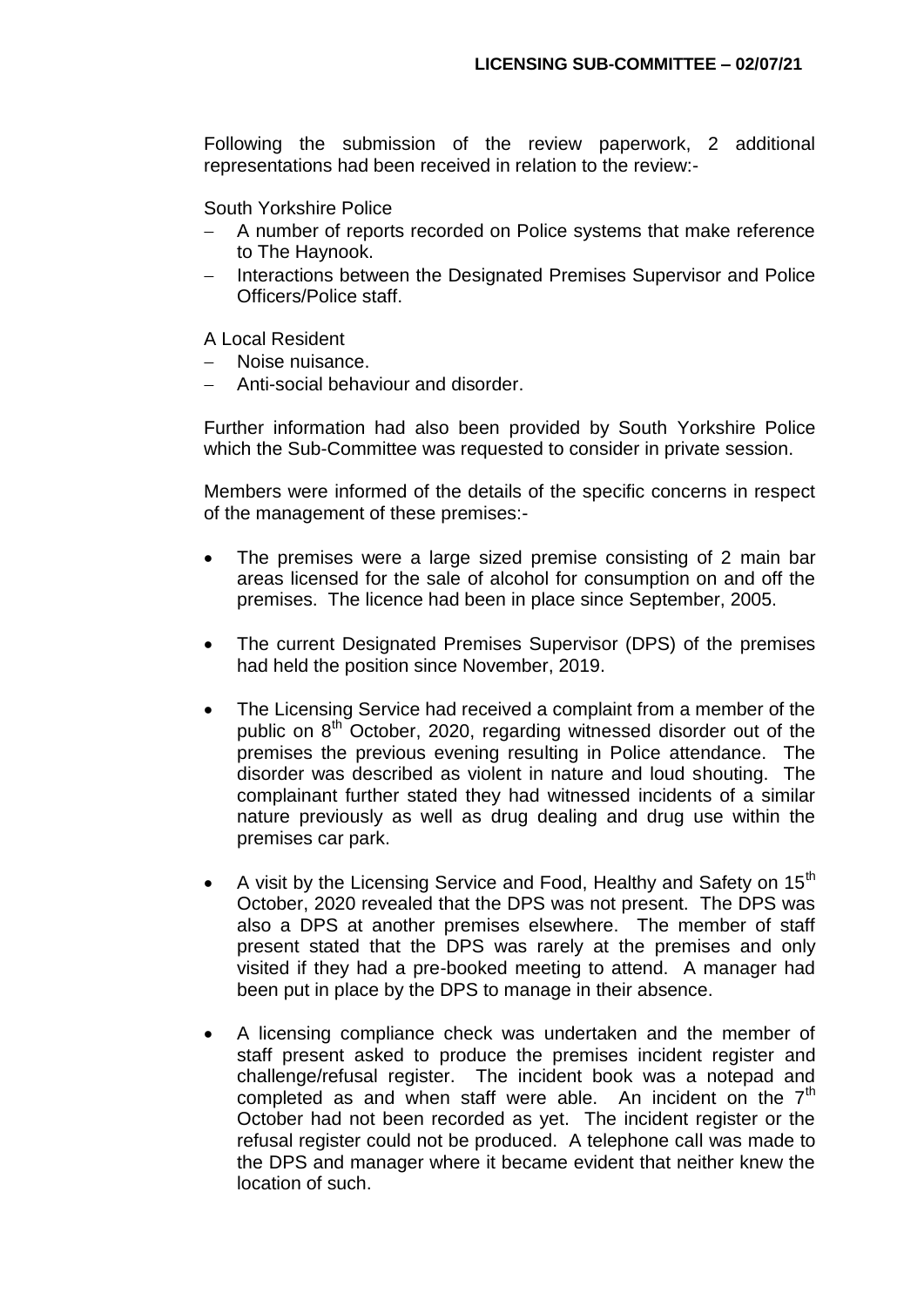Following the submission of the review paperwork, 2 additional representations had been received in relation to the review:-

South Yorkshire Police

- A number of reports recorded on Police systems that make reference to The Haynook.
- Interactions between the Designated Premises Supervisor and Police Officers/Police staff.

A Local Resident

- Noise nuisance.
- Anti-social behaviour and disorder.

Further information had also been provided by South Yorkshire Police which the Sub-Committee was requested to consider in private session.

Members were informed of the details of the specific concerns in respect of the management of these premises:-

- The premises were a large sized premise consisting of 2 main bar areas licensed for the sale of alcohol for consumption on and off the premises. The licence had been in place since September, 2005.
- The current Designated Premises Supervisor (DPS) of the premises had held the position since November, 2019.
- The Licensing Service had received a complaint from a member of the public on 8<sup>th</sup> October, 2020, regarding witnessed disorder out of the premises the previous evening resulting in Police attendance. The disorder was described as violent in nature and loud shouting. The complainant further stated they had witnessed incidents of a similar nature previously as well as drug dealing and drug use within the premises car park.
- A visit by the Licensing Service and Food, Healthy and Safety on 15<sup>th</sup> October, 2020 revealed that the DPS was not present. The DPS was also a DPS at another premises elsewhere. The member of staff present stated that the DPS was rarely at the premises and only visited if they had a pre-booked meeting to attend. A manager had been put in place by the DPS to manage in their absence.
- A licensing compliance check was undertaken and the member of staff present asked to produce the premises incident register and challenge/refusal register. The incident book was a notepad and completed as and when staff were able. An incident on the  $7<sup>th</sup>$ October had not been recorded as yet. The incident register or the refusal register could not be produced. A telephone call was made to the DPS and manager where it became evident that neither knew the location of such.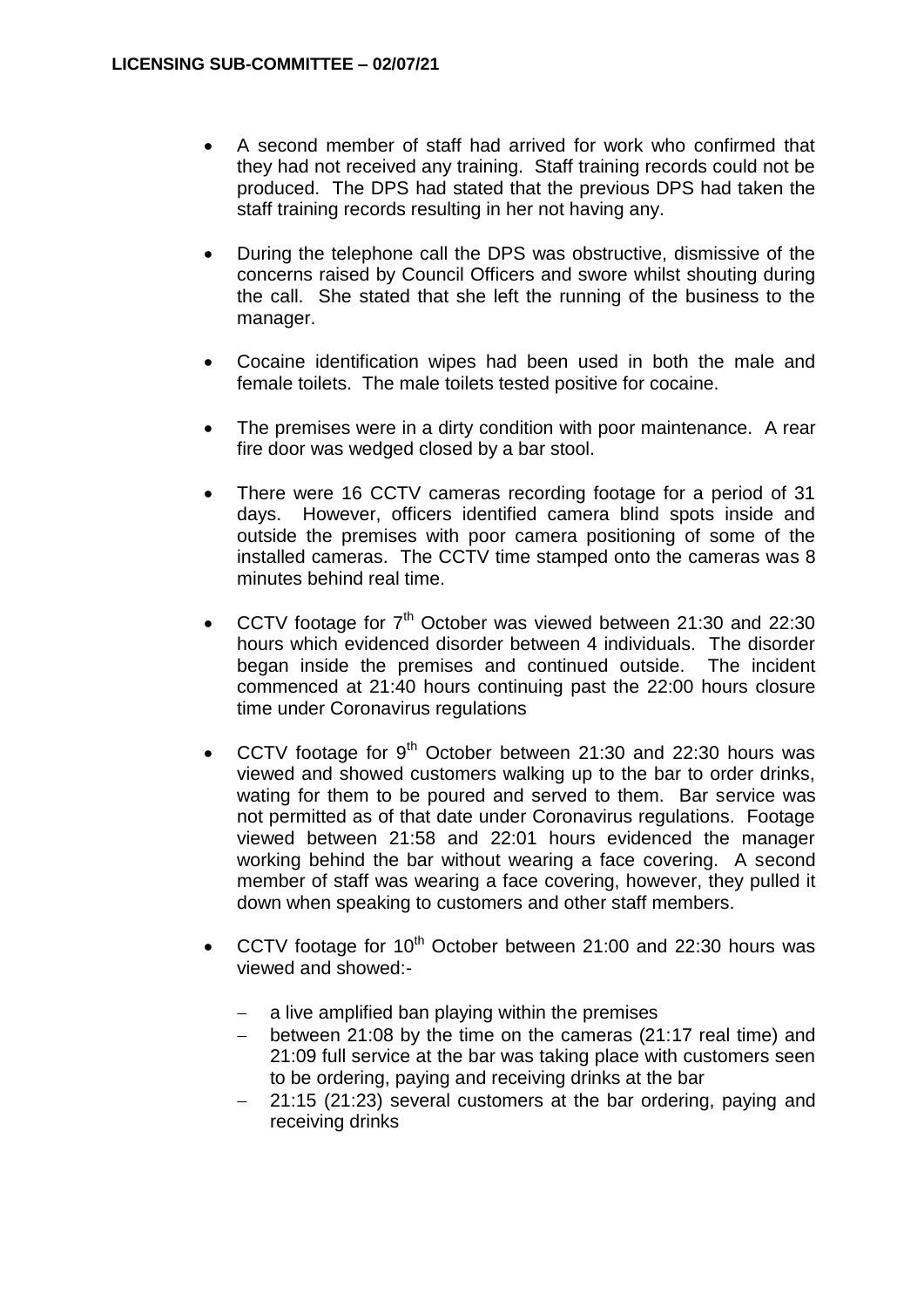- A second member of staff had arrived for work who confirmed that they had not received any training. Staff training records could not be produced. The DPS had stated that the previous DPS had taken the staff training records resulting in her not having any.
- During the telephone call the DPS was obstructive, dismissive of the concerns raised by Council Officers and swore whilst shouting during the call. She stated that she left the running of the business to the manager.
- Cocaine identification wipes had been used in both the male and female toilets. The male toilets tested positive for cocaine.
- The premises were in a dirty condition with poor maintenance. A rear fire door was wedged closed by a bar stool.
- There were 16 CCTV cameras recording footage for a period of 31 days. However, officers identified camera blind spots inside and outside the premises with poor camera positioning of some of the installed cameras. The CCTV time stamped onto the cameras was 8 minutes behind real time.
- CCTV footage for  $7<sup>th</sup>$  October was viewed between 21:30 and 22:30 hours which evidenced disorder between 4 individuals. The disorder began inside the premises and continued outside. The incident commenced at 21:40 hours continuing past the 22:00 hours closure time under Coronavirus regulations
- CCTV footage for  $9<sup>th</sup>$  October between 21:30 and 22:30 hours was viewed and showed customers walking up to the bar to order drinks, wating for them to be poured and served to them. Bar service was not permitted as of that date under Coronavirus regulations. Footage viewed between 21:58 and 22:01 hours evidenced the manager working behind the bar without wearing a face covering. A second member of staff was wearing a face covering, however, they pulled it down when speaking to customers and other staff members.
- CCTV footage for  $10^{th}$  October between 21:00 and 22:30 hours was viewed and showed:
	- a live amplified ban playing within the premises
	- between 21:08 by the time on the cameras (21:17 real time) and 21:09 full service at the bar was taking place with customers seen to be ordering, paying and receiving drinks at the bar
	- 21:15 (21:23) several customers at the bar ordering, paying and receiving drinks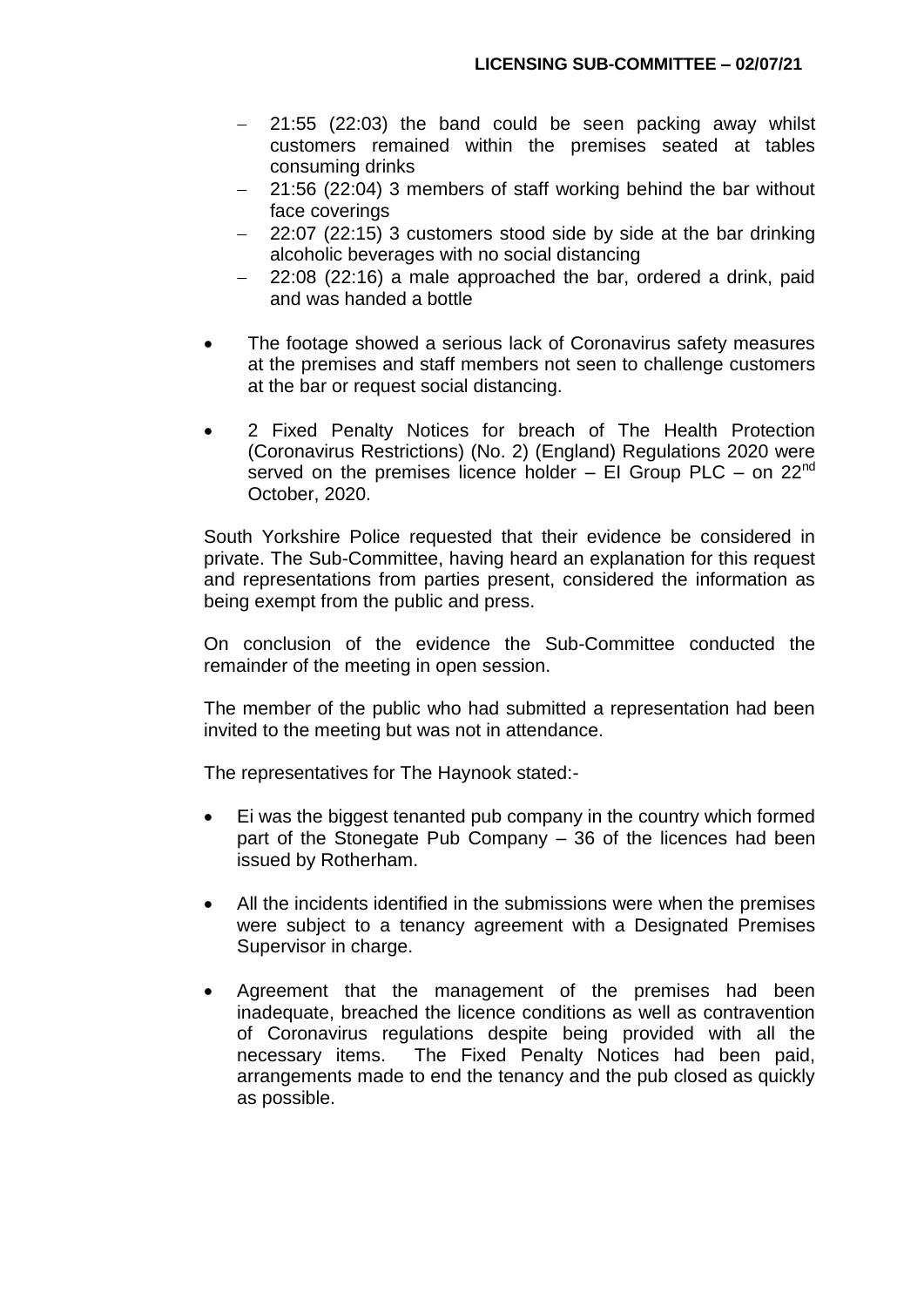- $-$  21:55 (22:03) the band could be seen packing away whilst customers remained within the premises seated at tables consuming drinks
- 21:56 (22:04) 3 members of staff working behind the bar without face coverings
- 22:07 (22:15) 3 customers stood side by side at the bar drinking alcoholic beverages with no social distancing
- 22:08 (22:16) a male approached the bar, ordered a drink, paid and was handed a bottle
- The footage showed a serious lack of Coronavirus safety measures at the premises and staff members not seen to challenge customers at the bar or request social distancing.
- 2 Fixed Penalty Notices for breach of The Health Protection (Coronavirus Restrictions) (No. 2) (England) Regulations 2020 were served on the premises licence holder  $-$  EI Group PLC  $-$  on 22<sup>nd</sup> October, 2020.

South Yorkshire Police requested that their evidence be considered in private. The Sub-Committee, having heard an explanation for this request and representations from parties present, considered the information as being exempt from the public and press.

On conclusion of the evidence the Sub-Committee conducted the remainder of the meeting in open session.

The member of the public who had submitted a representation had been invited to the meeting but was not in attendance.

The representatives for The Haynook stated:-

- Ei was the biggest tenanted pub company in the country which formed part of the Stonegate Pub Company – 36 of the licences had been issued by Rotherham.
- All the incidents identified in the submissions were when the premises were subject to a tenancy agreement with a Designated Premises Supervisor in charge.
- Agreement that the management of the premises had been inadequate, breached the licence conditions as well as contravention of Coronavirus regulations despite being provided with all the necessary items. The Fixed Penalty Notices had been paid, arrangements made to end the tenancy and the pub closed as quickly as possible.